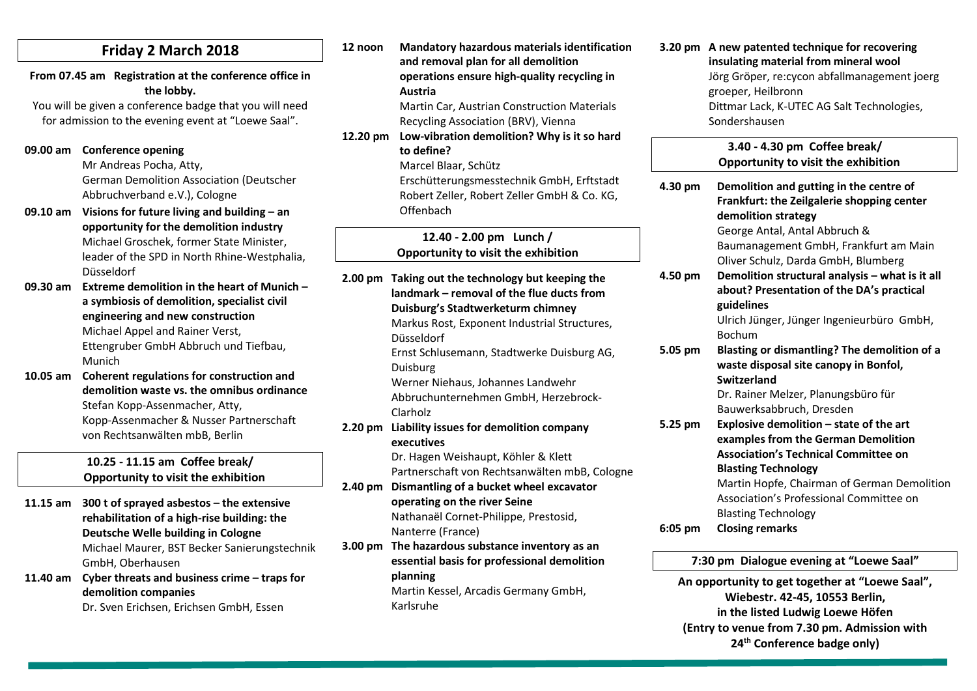|  |  | Friday 2 March 2018 |  |
|--|--|---------------------|--|
|--|--|---------------------|--|

**From 07.45 am Registration at the conference office in the lobby.**

You will be given a conference badge that you will need for admission to the evening event at "Loewe Saal".

#### **09.00 am Conference opening**

Mr Andreas Pocha, Atty, German Demolition Association (Deutscher Abbruchverband e.V.), Cologne

- **09.10 am Visions for future living and building – an opportunity for the demolition industry** Michael Groschek, former State Minister, leader of the SPD in North Rhine-Westphalia, Düsseldorf
- **09.30 am Extreme demolition in the heart of Munich – a symbiosis of demolition, specialist civil engineering and new construction** Michael Appel and Rainer Verst, Ettengruber GmbH Abbruch und Tiefbau, Munich
- **10.05 am Coherent regulations for construction and demolition waste vs. the omnibus ordinance** Stefan Kopp-Assenmacher, Atty, Kopp-Assenmacher & Nusser Partnerschaft von Rechtsanwälten mbB, Berlin

### **10.25 - 11.15 am Coffee break/ Opportunity to visit the exhibition**

**11.15 am 300 t of sprayed asbestos – the extensive rehabilitation of a high-rise building: the Deutsche Welle building in Cologne** Michael Maurer, BST Becker Sanierungstechnik GmbH, Oberhausen **11.40 am Cyber threats and business crime – traps for** 

**demolition companies**

Dr. Sven Erichsen, Erichsen GmbH, Essen

**12 noon Mandatory hazardous materials identification and removal plan for all demolition operations ensure high-quality recycling in Austria**  Martin Car, Austrian Construction Materials Recycling Association (BRV), Vienna

**12.20 pm Low-vibration demolition? Why is it so hard to define?**

Marcel Blaar, Schütz

Erschütterungsmesstechnik GmbH, Erftstadt Robert Zeller, Robert Zeller GmbH & Co. KG, **Offenbach** 

**12.40 - 2.00 pm Lunch / Opportunity to visit the exhibition**

**2.00 pm Taking out the technology but keeping the landmark – removal of the flue ducts from Duisburg's Stadtwerketurm chimney** Markus Rost, Exponent Industrial Structures, Düsseldorf Ernst Schlusemann, Stadtwerke Duisburg AG, Duisburg Werner Niehaus, Johannes Landwehr Abbruchunternehmen GmbH, Herzebrock-Clarholz **2.20 pm Liability issues for demolition company executives** Dr. Hagen Weishaupt, Köhler & Klett

Partnerschaft von Rechtsanwälten mbB, Cologne

- **2.40 pm Dismantling of a bucket wheel excavator operating on the river Seine** Nathanaël Cornet-Philippe, Prestosid, Nanterre (France)
- **3.00 pm The hazardous substance inventory as an essential basis for professional demolition planning** Martin Kessel, Arcadis Germany GmbH, Karlsruhe

**3.20 pm A new patented technique for recovering insulating material from mineral wool** Jörg Gröper, re:cycon abfallmanagement joerg groeper, Heilbronn Dittmar Lack, K-UTEC AG Salt Technologies, Sondershausen

|           | 3.40 - 4.30 pm Coffee break/<br>Opportunity to visit the exhibition |
|-----------|---------------------------------------------------------------------|
| 4.30 pm   | Demolition and gutting in the centre of                             |
|           | Frankfurt: the Zeilgalerie shopping center                          |
|           | demolition strategy                                                 |
|           | George Antal, Antal Abbruch &                                       |
|           | Baumanagement GmbH, Frankfurt am Main                               |
|           | Oliver Schulz, Darda GmbH, Blumberg                                 |
| 4.50 pm   | Demolition structural analysis - what is it all                     |
|           | about? Presentation of the DA's practical                           |
|           | guidelines                                                          |
|           | Ulrich Jünger, Jünger Ingenieurbüro GmbH,                           |
|           | <b>Bochum</b>                                                       |
| 5.05 pm   | Blasting or dismantling? The demolition of a                        |
|           | waste disposal site canopy in Bonfol,                               |
|           | Switzerland                                                         |
|           | Dr. Rainer Melzer, Planungsbüro für                                 |
|           | Bauwerksabbruch, Dresden                                            |
| 5.25 pm   | Explosive demolition - state of the art                             |
|           | examples from the German Demolition                                 |
|           | <b>Association's Technical Committee on</b>                         |
|           | <b>Blasting Technology</b>                                          |
|           | Martin Hopfe, Chairman of German Demolition                         |
|           | Association's Professional Committee on                             |
|           | <b>Blasting Technology</b>                                          |
| $6:05$ pm | <b>Closing remarks</b>                                              |

**7:30 pm Dialogue evening at "Loewe Saal"**

**An opportunity to get together at "Loewe Saal", Wiebestr. 42-45, 10553 Berlin, in the listed Ludwig Loewe Höfen (Entry to venue from 7.30 pm. Admission with 24th Conference badge only)**